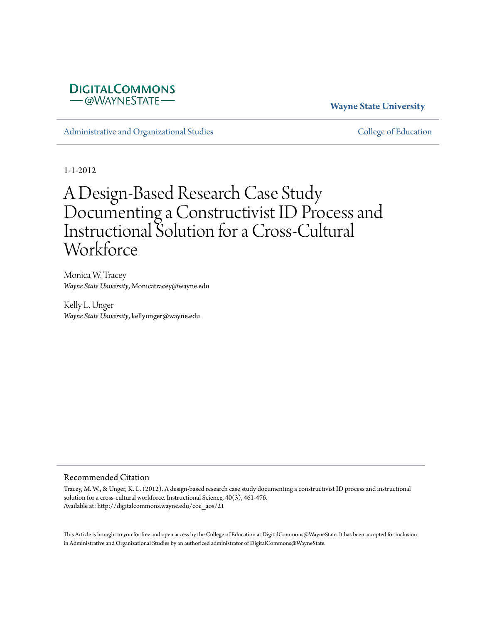

# **Wayne State University**

[Administrative and Organizational Studies](http://digitalcommons.wayne.edu/coe_aos) **[College of Education](http://digitalcommons.wayne.edu/coe)** College of Education

1-1-2012

# A Design-Based Research Case Study Documenting a Constructivist ID Process and Instructional Solution for a Cross-Cultural **Workforce**

Monica W. Tracey *Wayne State University*, Monicatracey@wayne.edu

Kelly L. Unger *Wayne State University*, kellyunger@wayne.edu

#### Recommended Citation

Tracey, M. W., & Unger, K. L. (2012). A design-based research case study documenting a constructivist ID process and instructional solution for a cross-cultural workforce. Instructional Science, 40(3), 461-476. Available at: http://digitalcommons.wayne.edu/coe\_aos/21

This Article is brought to you for free and open access by the College of Education at DigitalCommons@WayneState. It has been accepted for inclusion in Administrative and Organizational Studies by an authorized administrator of DigitalCommons@WayneState.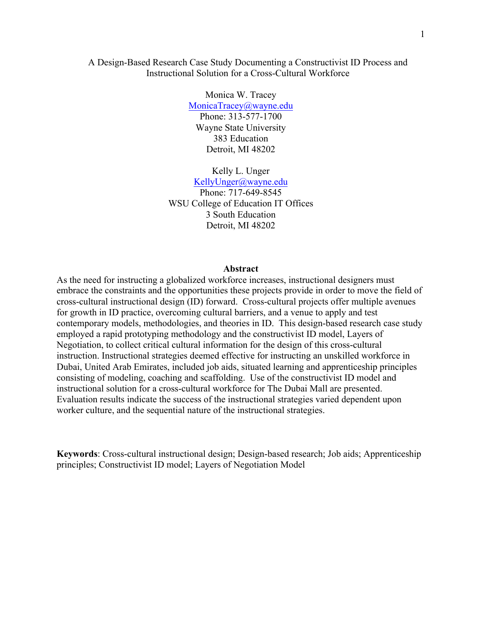# A Design-Based Research Case Study Documenting a Constructivist ID Process and Instructional Solution for a Cross-Cultural Workforce

Monica W. Tracey MonicaTracey@wayne.edu Phone: 313-577-1700 Wayne State University 383 Education Detroit, MI 48202

Kelly L. Unger KellyUnger@wayne.edu Phone: 717-649-8545 WSU College of Education IT Offices 3 South Education Detroit, MI 48202

# **Abstract**

As the need for instructing a globalized workforce increases, instructional designers must embrace the constraints and the opportunities these projects provide in order to move the field of cross-cultural instructional design (ID) forward. Cross-cultural projects offer multiple avenues for growth in ID practice, overcoming cultural barriers, and a venue to apply and test contemporary models, methodologies, and theories in ID. This design-based research case study employed a rapid prototyping methodology and the constructivist ID model, Layers of Negotiation, to collect critical cultural information for the design of this cross-cultural instruction. Instructional strategies deemed effective for instructing an unskilled workforce in Dubai, United Arab Emirates, included job aids, situated learning and apprenticeship principles consisting of modeling, coaching and scaffolding. Use of the constructivist ID model and instructional solution for a cross-cultural workforce for The Dubai Mall are presented. Evaluation results indicate the success of the instructional strategies varied dependent upon worker culture, and the sequential nature of the instructional strategies.

**Keywords**: Cross-cultural instructional design; Design-based research; Job aids; Apprenticeship principles; Constructivist ID model; Layers of Negotiation Model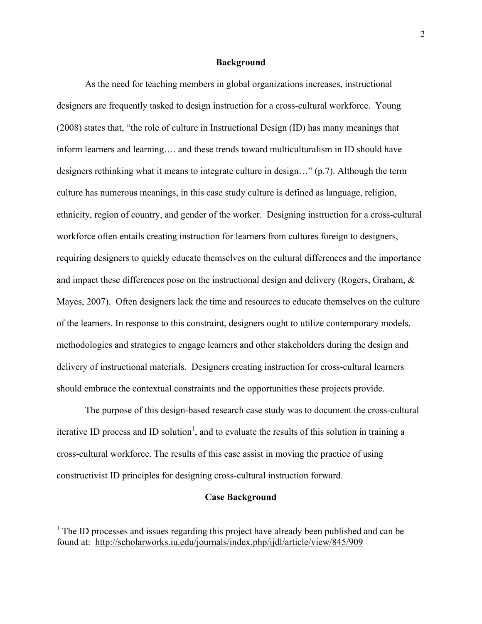#### **Background**

As the need for teaching members in global organizations increases, instructional designers are frequently tasked to design instruction for a cross-cultural workforce. Young (2008) states that, "the role of culture in Instructional Design (ID) has many meanings that inform learners and learning…. and these trends toward multiculturalism in ID should have designers rethinking what it means to integrate culture in design…" (p.7). Although the term culture has numerous meanings, in this case study culture is defined as language, religion, ethnicity, region of country, and gender of the worker. Designing instruction for a cross-cultural workforce often entails creating instruction for learners from cultures foreign to designers, requiring designers to quickly educate themselves on the cultural differences and the importance and impact these differences pose on the instructional design and delivery (Rogers, Graham, & Mayes, 2007). Often designers lack the time and resources to educate themselves on the culture of the learners. In response to this constraint, designers ought to utilize contemporary models, methodologies and strategies to engage learners and other stakeholders during the design and delivery of instructional materials. Designers creating instruction for cross-cultural learners should embrace the contextual constraints and the opportunities these projects provide.

The purpose of this design-based research case study was to document the cross-cultural iterative ID process and ID solution<sup>1</sup>, and to evaluate the results of this solution in training a cross-cultural workforce. The results of this case assist in moving the practice of using constructivist ID principles for designing cross-cultural instruction forward.

#### **Case Background**

 $<sup>1</sup>$  The ID processes and issues regarding this project have already been published and can be</sup> found at: http://scholarworks.iu.edu/journals/index.php/ijdl/article/view/845/909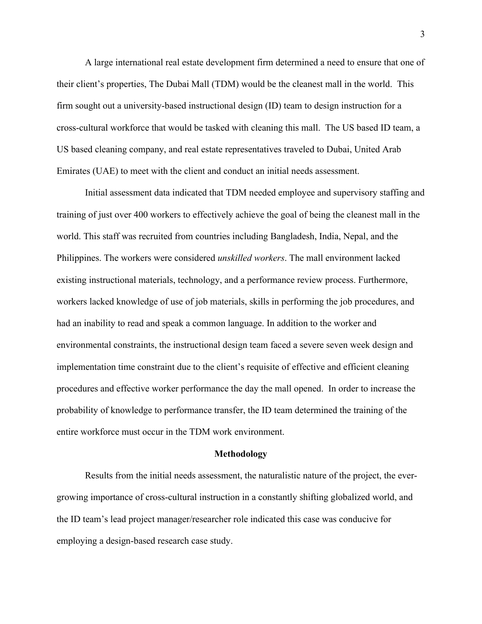A large international real estate development firm determined a need to ensure that one of their client's properties, The Dubai Mall (TDM) would be the cleanest mall in the world. This firm sought out a university-based instructional design (ID) team to design instruction for a cross-cultural workforce that would be tasked with cleaning this mall. The US based ID team, a US based cleaning company, and real estate representatives traveled to Dubai, United Arab Emirates (UAE) to meet with the client and conduct an initial needs assessment.

Initial assessment data indicated that TDM needed employee and supervisory staffing and training of just over 400 workers to effectively achieve the goal of being the cleanest mall in the world. This staff was recruited from countries including Bangladesh, India, Nepal, and the Philippines. The workers were considered *unskilled workers*. The mall environment lacked existing instructional materials, technology, and a performance review process. Furthermore, workers lacked knowledge of use of job materials, skills in performing the job procedures, and had an inability to read and speak a common language. In addition to the worker and environmental constraints, the instructional design team faced a severe seven week design and implementation time constraint due to the client's requisite of effective and efficient cleaning procedures and effective worker performance the day the mall opened. In order to increase the probability of knowledge to performance transfer, the ID team determined the training of the entire workforce must occur in the TDM work environment.

#### **Methodology**

Results from the initial needs assessment, the naturalistic nature of the project, the evergrowing importance of cross-cultural instruction in a constantly shifting globalized world, and the ID team's lead project manager/researcher role indicated this case was conducive for employing a design-based research case study.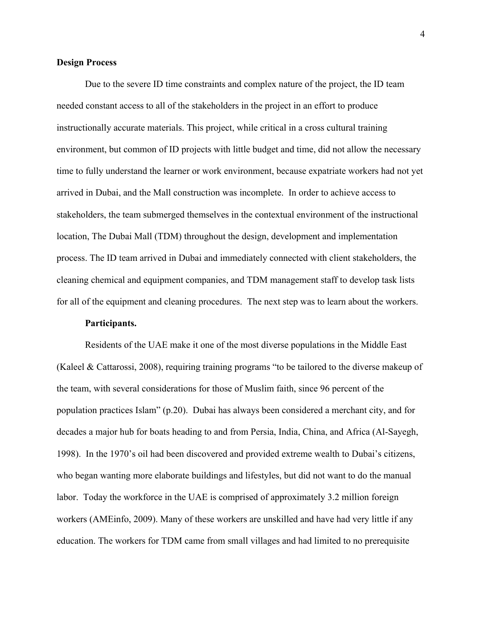#### **Design Process**

Due to the severe ID time constraints and complex nature of the project, the ID team needed constant access to all of the stakeholders in the project in an effort to produce instructionally accurate materials. This project, while critical in a cross cultural training environment, but common of ID projects with little budget and time, did not allow the necessary time to fully understand the learner or work environment, because expatriate workers had not yet arrived in Dubai, and the Mall construction was incomplete. In order to achieve access to stakeholders, the team submerged themselves in the contextual environment of the instructional location, The Dubai Mall (TDM) throughout the design, development and implementation process. The ID team arrived in Dubai and immediately connected with client stakeholders, the cleaning chemical and equipment companies, and TDM management staff to develop task lists for all of the equipment and cleaning procedures. The next step was to learn about the workers.

#### **Participants.**

Residents of the UAE make it one of the most diverse populations in the Middle East (Kaleel & Cattarossi, 2008), requiring training programs "to be tailored to the diverse makeup of the team, with several considerations for those of Muslim faith, since 96 percent of the population practices Islam" (p.20). Dubai has always been considered a merchant city, and for decades a major hub for boats heading to and from Persia, India, China, and Africa (Al-Sayegh, 1998). In the 1970's oil had been discovered and provided extreme wealth to Dubai's citizens, who began wanting more elaborate buildings and lifestyles, but did not want to do the manual labor. Today the workforce in the UAE is comprised of approximately 3.2 million foreign workers (AMEinfo, 2009). Many of these workers are unskilled and have had very little if any education. The workers for TDM came from small villages and had limited to no prerequisite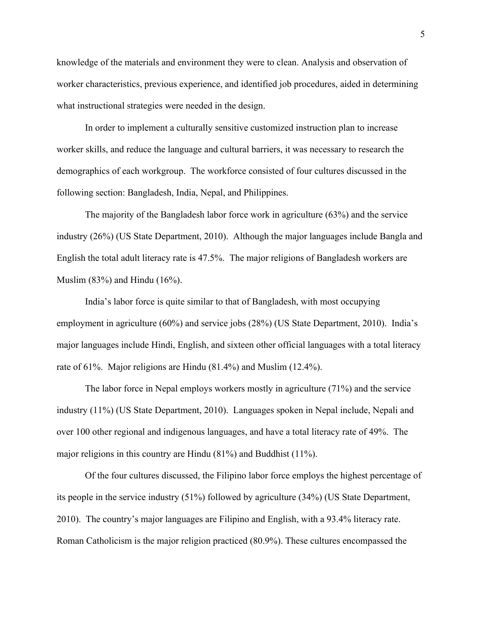knowledge of the materials and environment they were to clean. Analysis and observation of worker characteristics, previous experience, and identified job procedures, aided in determining what instructional strategies were needed in the design.

In order to implement a culturally sensitive customized instruction plan to increase worker skills, and reduce the language and cultural barriers, it was necessary to research the demographics of each workgroup. The workforce consisted of four cultures discussed in the following section: Bangladesh, India, Nepal, and Philippines.

The majority of the Bangladesh labor force work in agriculture (63%) and the service industry (26%) (US State Department, 2010). Although the major languages include Bangla and English the total adult literacy rate is 47.5%. The major religions of Bangladesh workers are Muslim  $(83\%)$  and Hindu  $(16\%)$ .

India's labor force is quite similar to that of Bangladesh, with most occupying employment in agriculture (60%) and service jobs (28%) (US State Department, 2010). India's major languages include Hindi, English, and sixteen other official languages with a total literacy rate of 61%. Major religions are Hindu (81.4%) and Muslim (12.4%).

The labor force in Nepal employs workers mostly in agriculture (71%) and the service industry (11%) (US State Department, 2010). Languages spoken in Nepal include, Nepali and over 100 other regional and indigenous languages, and have a total literacy rate of 49%. The major religions in this country are Hindu (81%) and Buddhist (11%).

Of the four cultures discussed, the Filipino labor force employs the highest percentage of its people in the service industry (51%) followed by agriculture (34%) (US State Department, 2010). The country's major languages are Filipino and English, with a 93.4% literacy rate. Roman Catholicism is the major religion practiced (80.9%). These cultures encompassed the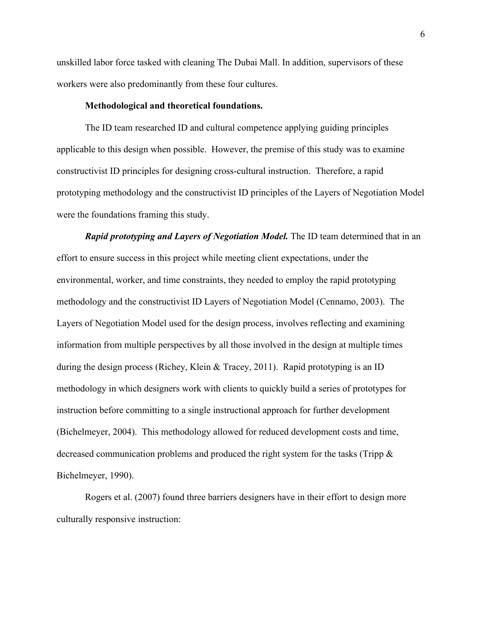unskilled labor force tasked with cleaning The Dubai Mall. In addition, supervisors of these workers were also predominantly from these four cultures.

#### **Methodological and theoretical foundations.**

The ID team researched ID and cultural competence applying guiding principles applicable to this design when possible. However, the premise of this study was to examine constructivist ID principles for designing cross-cultural instruction. Therefore, a rapid prototyping methodology and the constructivist ID principles of the Layers of Negotiation Model were the foundations framing this study.

*Rapid prototyping and Layers of Negotiation Model.* The ID team determined that in an effort to ensure success in this project while meeting client expectations, under the environmental, worker, and time constraints, they needed to employ the rapid prototyping methodology and the constructivist ID Layers of Negotiation Model (Cennamo, 2003). The Layers of Negotiation Model used for the design process, involves reflecting and examining information from multiple perspectives by all those involved in the design at multiple times during the design process (Richey, Klein & Tracey, 2011). Rapid prototyping is an ID methodology in which designers work with clients to quickly build a series of prototypes for instruction before committing to a single instructional approach for further development (Bichelmeyer, 2004). This methodology allowed for reduced development costs and time, decreased communication problems and produced the right system for the tasks (Tripp & Bichelmeyer, 1990).

Rogers et al. (2007) found three barriers designers have in their effort to design more culturally responsive instruction: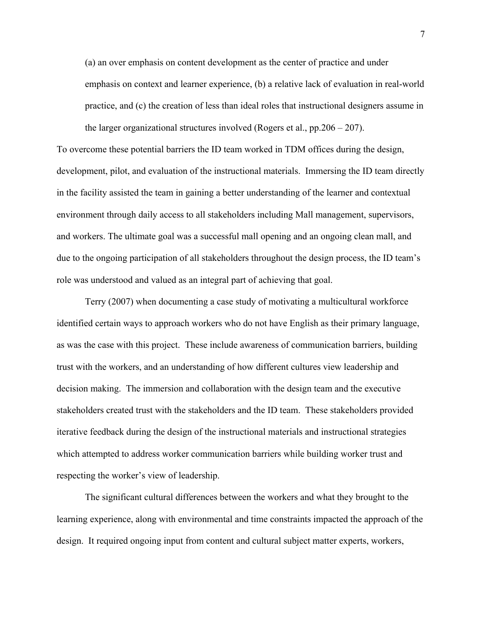(a) an over emphasis on content development as the center of practice and under emphasis on context and learner experience, (b) a relative lack of evaluation in real-world practice, and (c) the creation of less than ideal roles that instructional designers assume in the larger organizational structures involved (Rogers et al., pp.206 – 207).

To overcome these potential barriers the ID team worked in TDM offices during the design, development, pilot, and evaluation of the instructional materials. Immersing the ID team directly in the facility assisted the team in gaining a better understanding of the learner and contextual environment through daily access to all stakeholders including Mall management, supervisors, and workers. The ultimate goal was a successful mall opening and an ongoing clean mall, and due to the ongoing participation of all stakeholders throughout the design process, the ID team's role was understood and valued as an integral part of achieving that goal.

Terry (2007) when documenting a case study of motivating a multicultural workforce identified certain ways to approach workers who do not have English as their primary language, as was the case with this project. These include awareness of communication barriers, building trust with the workers, and an understanding of how different cultures view leadership and decision making. The immersion and collaboration with the design team and the executive stakeholders created trust with the stakeholders and the ID team. These stakeholders provided iterative feedback during the design of the instructional materials and instructional strategies which attempted to address worker communication barriers while building worker trust and respecting the worker's view of leadership.

The significant cultural differences between the workers and what they brought to the learning experience, along with environmental and time constraints impacted the approach of the design. It required ongoing input from content and cultural subject matter experts, workers,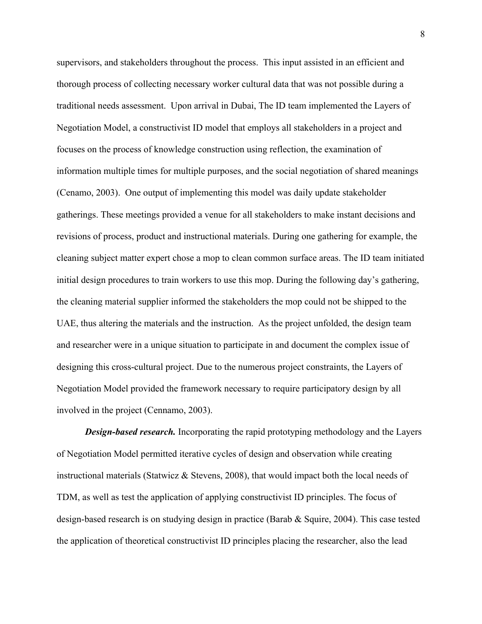supervisors, and stakeholders throughout the process. This input assisted in an efficient and thorough process of collecting necessary worker cultural data that was not possible during a traditional needs assessment. Upon arrival in Dubai, The ID team implemented the Layers of Negotiation Model, a constructivist ID model that employs all stakeholders in a project and focuses on the process of knowledge construction using reflection, the examination of information multiple times for multiple purposes, and the social negotiation of shared meanings (Cenamo, 2003). One output of implementing this model was daily update stakeholder gatherings. These meetings provided a venue for all stakeholders to make instant decisions and revisions of process, product and instructional materials. During one gathering for example, the cleaning subject matter expert chose a mop to clean common surface areas. The ID team initiated initial design procedures to train workers to use this mop. During the following day's gathering, the cleaning material supplier informed the stakeholders the mop could not be shipped to the UAE, thus altering the materials and the instruction. As the project unfolded, the design team and researcher were in a unique situation to participate in and document the complex issue of designing this cross-cultural project. Due to the numerous project constraints, the Layers of Negotiation Model provided the framework necessary to require participatory design by all involved in the project (Cennamo, 2003).

*Design-based research.* Incorporating the rapid prototyping methodology and the Layers of Negotiation Model permitted iterative cycles of design and observation while creating instructional materials (Statwicz & Stevens, 2008), that would impact both the local needs of TDM, as well as test the application of applying constructivist ID principles. The focus of design-based research is on studying design in practice (Barab & Squire, 2004). This case tested the application of theoretical constructivist ID principles placing the researcher, also the lead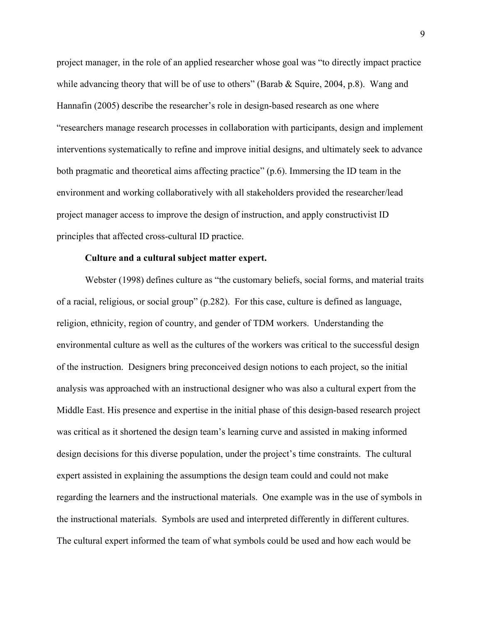project manager, in the role of an applied researcher whose goal was "to directly impact practice while advancing theory that will be of use to others" (Barab & Squire, 2004, p.8). Wang and Hannafin (2005) describe the researcher's role in design-based research as one where "researchers manage research processes in collaboration with participants, design and implement interventions systematically to refine and improve initial designs, and ultimately seek to advance both pragmatic and theoretical aims affecting practice" (p.6). Immersing the ID team in the environment and working collaboratively with all stakeholders provided the researcher/lead project manager access to improve the design of instruction, and apply constructivist ID principles that affected cross-cultural ID practice.

# **Culture and a cultural subject matter expert.**

Webster (1998) defines culture as "the customary beliefs, social forms, and material traits of a racial, religious, or social group" (p.282). For this case, culture is defined as language, religion, ethnicity, region of country, and gender of TDM workers. Understanding the environmental culture as well as the cultures of the workers was critical to the successful design of the instruction. Designers bring preconceived design notions to each project, so the initial analysis was approached with an instructional designer who was also a cultural expert from the Middle East. His presence and expertise in the initial phase of this design-based research project was critical as it shortened the design team's learning curve and assisted in making informed design decisions for this diverse population, under the project's time constraints. The cultural expert assisted in explaining the assumptions the design team could and could not make regarding the learners and the instructional materials. One example was in the use of symbols in the instructional materials. Symbols are used and interpreted differently in different cultures. The cultural expert informed the team of what symbols could be used and how each would be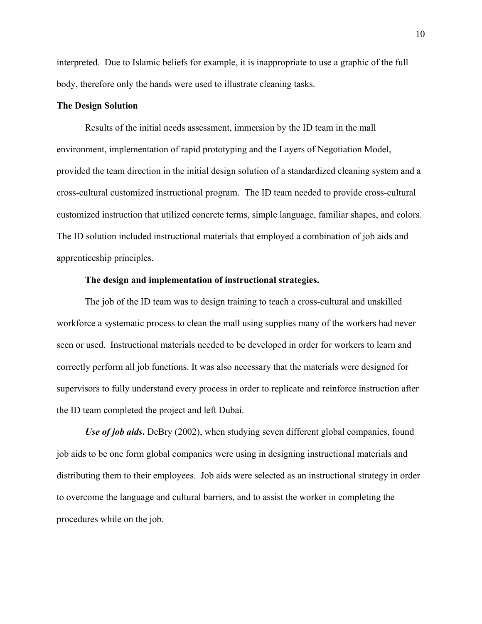interpreted. Due to Islamic beliefs for example, it is inappropriate to use a graphic of the full body, therefore only the hands were used to illustrate cleaning tasks.

# **The Design Solution**

Results of the initial needs assessment, immersion by the ID team in the mall environment, implementation of rapid prototyping and the Layers of Negotiation Model, provided the team direction in the initial design solution of a standardized cleaning system and a cross-cultural customized instructional program. The ID team needed to provide cross-cultural customized instruction that utilized concrete terms, simple language, familiar shapes, and colors. The ID solution included instructional materials that employed a combination of job aids and apprenticeship principles.

## **The design and implementation of instructional strategies.**

The job of the ID team was to design training to teach a cross-cultural and unskilled workforce a systematic process to clean the mall using supplies many of the workers had never seen or used. Instructional materials needed to be developed in order for workers to learn and correctly perform all job functions. It was also necessary that the materials were designed for supervisors to fully understand every process in order to replicate and reinforce instruction after the ID team completed the project and left Dubai.

*Use of job aids***.** DeBry (2002), when studying seven different global companies, found job aids to be one form global companies were using in designing instructional materials and distributing them to their employees. Job aids were selected as an instructional strategy in order to overcome the language and cultural barriers, and to assist the worker in completing the procedures while on the job.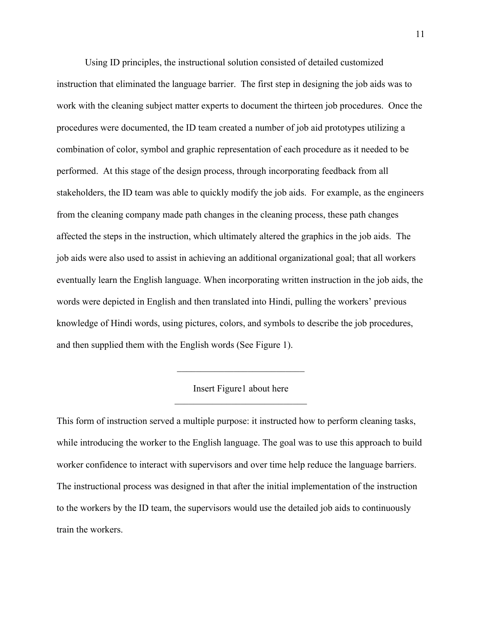Using ID principles, the instructional solution consisted of detailed customized instruction that eliminated the language barrier. The first step in designing the job aids was to work with the cleaning subject matter experts to document the thirteen job procedures. Once the procedures were documented, the ID team created a number of job aid prototypes utilizing a combination of color, symbol and graphic representation of each procedure as it needed to be performed. At this stage of the design process, through incorporating feedback from all stakeholders, the ID team was able to quickly modify the job aids. For example, as the engineers from the cleaning company made path changes in the cleaning process, these path changes affected the steps in the instruction, which ultimately altered the graphics in the job aids. The job aids were also used to assist in achieving an additional organizational goal; that all workers eventually learn the English language. When incorporating written instruction in the job aids, the words were depicted in English and then translated into Hindi, pulling the workers' previous knowledge of Hindi words, using pictures, colors, and symbols to describe the job procedures, and then supplied them with the English words (See Figure 1).

> Insert Figure1 about here  $\mathcal{L}_\text{max}$  , where  $\mathcal{L}_\text{max}$  , we have the set of  $\mathcal{L}_\text{max}$

 $\mathcal{L}_\text{max}$  , where  $\mathcal{L}_\text{max}$  , we have the set of  $\mathcal{L}_\text{max}$ 

This form of instruction served a multiple purpose: it instructed how to perform cleaning tasks, while introducing the worker to the English language. The goal was to use this approach to build worker confidence to interact with supervisors and over time help reduce the language barriers. The instructional process was designed in that after the initial implementation of the instruction to the workers by the ID team, the supervisors would use the detailed job aids to continuously train the workers.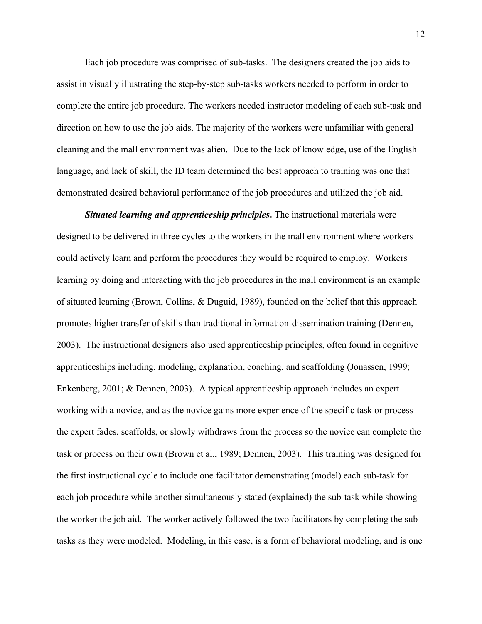Each job procedure was comprised of sub-tasks. The designers created the job aids to assist in visually illustrating the step-by-step sub-tasks workers needed to perform in order to complete the entire job procedure. The workers needed instructor modeling of each sub-task and direction on how to use the job aids. The majority of the workers were unfamiliar with general cleaning and the mall environment was alien. Due to the lack of knowledge, use of the English language, and lack of skill, the ID team determined the best approach to training was one that demonstrated desired behavioral performance of the job procedures and utilized the job aid.

*Situated learning and apprenticeship principles***.** The instructional materials were designed to be delivered in three cycles to the workers in the mall environment where workers could actively learn and perform the procedures they would be required to employ. Workers learning by doing and interacting with the job procedures in the mall environment is an example of situated learning (Brown, Collins, & Duguid, 1989), founded on the belief that this approach promotes higher transfer of skills than traditional information-dissemination training (Dennen, 2003). The instructional designers also used apprenticeship principles, often found in cognitive apprenticeships including, modeling, explanation, coaching, and scaffolding (Jonassen, 1999; Enkenberg, 2001; & Dennen, 2003). A typical apprenticeship approach includes an expert working with a novice, and as the novice gains more experience of the specific task or process the expert fades, scaffolds, or slowly withdraws from the process so the novice can complete the task or process on their own (Brown et al., 1989; Dennen, 2003). This training was designed for the first instructional cycle to include one facilitator demonstrating (model) each sub-task for each job procedure while another simultaneously stated (explained) the sub-task while showing the worker the job aid. The worker actively followed the two facilitators by completing the subtasks as they were modeled. Modeling, in this case, is a form of behavioral modeling, and is one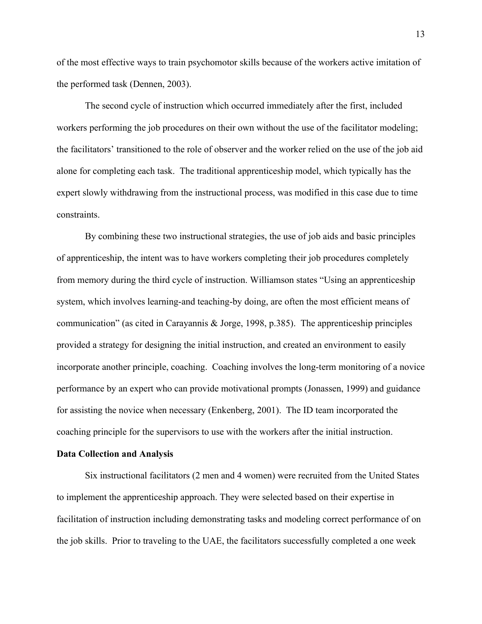of the most effective ways to train psychomotor skills because of the workers active imitation of the performed task (Dennen, 2003).

The second cycle of instruction which occurred immediately after the first, included workers performing the job procedures on their own without the use of the facilitator modeling; the facilitators' transitioned to the role of observer and the worker relied on the use of the job aid alone for completing each task. The traditional apprenticeship model, which typically has the expert slowly withdrawing from the instructional process, was modified in this case due to time constraints.

By combining these two instructional strategies, the use of job aids and basic principles of apprenticeship, the intent was to have workers completing their job procedures completely from memory during the third cycle of instruction. Williamson states "Using an apprenticeship system, which involves learning-and teaching-by doing, are often the most efficient means of communication" (as cited in Carayannis & Jorge, 1998, p.385). The apprenticeship principles provided a strategy for designing the initial instruction, and created an environment to easily incorporate another principle, coaching. Coaching involves the long-term monitoring of a novice performance by an expert who can provide motivational prompts (Jonassen, 1999) and guidance for assisting the novice when necessary (Enkenberg, 2001). The ID team incorporated the coaching principle for the supervisors to use with the workers after the initial instruction.

#### **Data Collection and Analysis**

Six instructional facilitators (2 men and 4 women) were recruited from the United States to implement the apprenticeship approach. They were selected based on their expertise in facilitation of instruction including demonstrating tasks and modeling correct performance of on the job skills. Prior to traveling to the UAE, the facilitators successfully completed a one week

13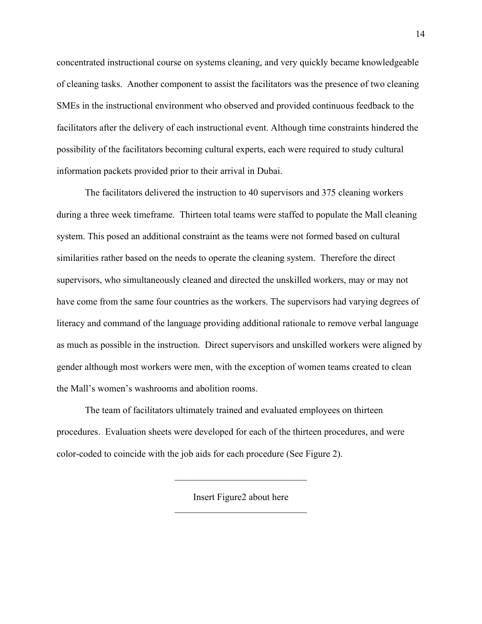concentrated instructional course on systems cleaning, and very quickly became knowledgeable of cleaning tasks. Another component to assist the facilitators was the presence of two cleaning SMEs in the instructional environment who observed and provided continuous feedback to the facilitators after the delivery of each instructional event. Although time constraints hindered the possibility of the facilitators becoming cultural experts, each were required to study cultural information packets provided prior to their arrival in Dubai.

The facilitators delivered the instruction to 40 supervisors and 375 cleaning workers during a three week timeframe. Thirteen total teams were staffed to populate the Mall cleaning system. This posed an additional constraint as the teams were not formed based on cultural similarities rather based on the needs to operate the cleaning system. Therefore the direct supervisors, who simultaneously cleaned and directed the unskilled workers, may or may not have come from the same four countries as the workers. The supervisors had varying degrees of literacy and command of the language providing additional rationale to remove verbal language as much as possible in the instruction. Direct supervisors and unskilled workers were aligned by gender although most workers were men, with the exception of women teams created to clean the Mall's women's washrooms and abolition rooms.

The team of facilitators ultimately trained and evaluated employees on thirteen procedures. Evaluation sheets were developed for each of the thirteen procedures, and were color-coded to coincide with the job aids for each procedure (See Figure 2).

> Insert Figure2 about here  $\mathcal{L}_\text{max}$  , where  $\mathcal{L}_\text{max}$  , we have the set of  $\mathcal{L}_\text{max}$

> $\mathcal{L}_\text{max}$  , where  $\mathcal{L}_\text{max}$  , we have the set of  $\mathcal{L}_\text{max}$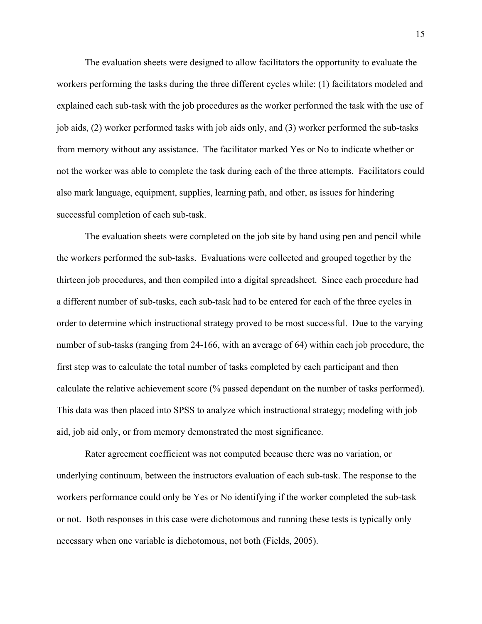The evaluation sheets were designed to allow facilitators the opportunity to evaluate the workers performing the tasks during the three different cycles while: (1) facilitators modeled and explained each sub-task with the job procedures as the worker performed the task with the use of job aids, (2) worker performed tasks with job aids only, and (3) worker performed the sub-tasks from memory without any assistance. The facilitator marked Yes or No to indicate whether or not the worker was able to complete the task during each of the three attempts. Facilitators could also mark language, equipment, supplies, learning path, and other, as issues for hindering successful completion of each sub-task.

The evaluation sheets were completed on the job site by hand using pen and pencil while the workers performed the sub-tasks. Evaluations were collected and grouped together by the thirteen job procedures, and then compiled into a digital spreadsheet. Since each procedure had a different number of sub-tasks, each sub-task had to be entered for each of the three cycles in order to determine which instructional strategy proved to be most successful. Due to the varying number of sub-tasks (ranging from 24-166, with an average of 64) within each job procedure, the first step was to calculate the total number of tasks completed by each participant and then calculate the relative achievement score (% passed dependant on the number of tasks performed). This data was then placed into SPSS to analyze which instructional strategy; modeling with job aid, job aid only, or from memory demonstrated the most significance.

Rater agreement coefficient was not computed because there was no variation, or underlying continuum, between the instructors evaluation of each sub-task. The response to the workers performance could only be Yes or No identifying if the worker completed the sub-task or not. Both responses in this case were dichotomous and running these tests is typically only necessary when one variable is dichotomous, not both (Fields, 2005).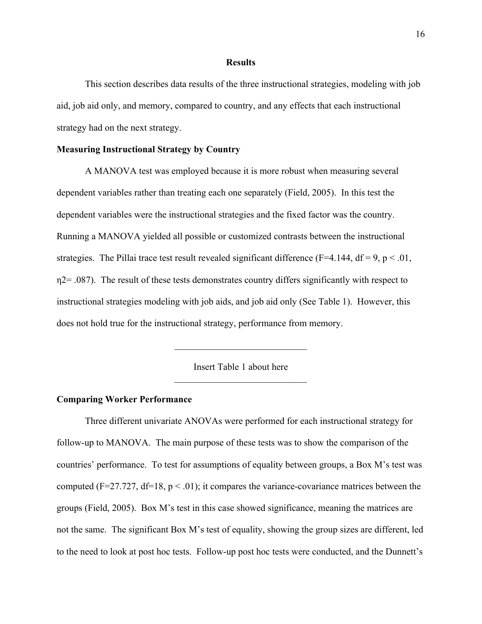#### **Results**

This section describes data results of the three instructional strategies, modeling with job aid, job aid only, and memory, compared to country, and any effects that each instructional strategy had on the next strategy.

# **Measuring Instructional Strategy by Country**

A MANOVA test was employed because it is more robust when measuring several dependent variables rather than treating each one separately (Field, 2005). In this test the dependent variables were the instructional strategies and the fixed factor was the country. Running a MANOVA yielded all possible or customized contrasts between the instructional strategies. The Pillai trace test result revealed significant difference (F=4.144, df = 9, p < .01,  $\eta$ 2= .087). The result of these tests demonstrates country differs significantly with respect to instructional strategies modeling with job aids, and job aid only (See Table 1). However, this does not hold true for the instructional strategy, performance from memory.

> Insert Table 1 about here  $\mathcal{L}_\text{max}$  , where  $\mathcal{L}_\text{max}$  , we have the set of  $\mathcal{L}_\text{max}$

> $\mathcal{L}_\text{max}$  , where  $\mathcal{L}_\text{max}$  , we have the set of  $\mathcal{L}_\text{max}$

### **Comparing Worker Performance**

Three different univariate ANOVAs were performed for each instructional strategy for follow-up to MANOVA. The main purpose of these tests was to show the comparison of the countries' performance. To test for assumptions of equality between groups, a Box M's test was computed (F=27.727, df=18,  $p < .01$ ); it compares the variance-covariance matrices between the groups (Field, 2005). Box M's test in this case showed significance, meaning the matrices are not the same. The significant Box M's test of equality, showing the group sizes are different, led to the need to look at post hoc tests. Follow-up post hoc tests were conducted, and the Dunnett's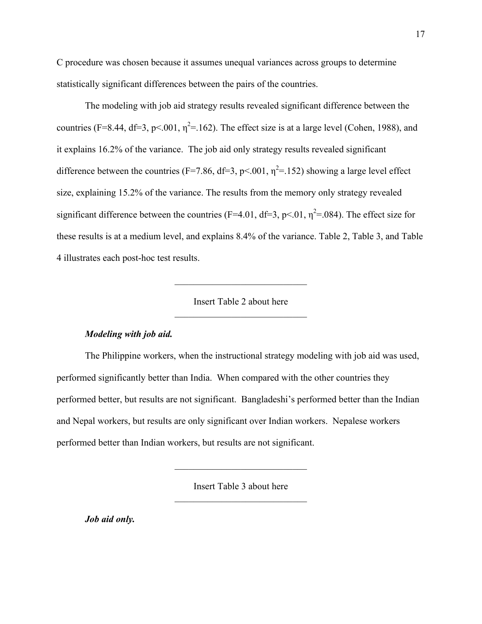C procedure was chosen because it assumes unequal variances across groups to determine statistically significant differences between the pairs of the countries.

The modeling with job aid strategy results revealed significant difference between the countries (F=8.44, df=3, p<.001,  $\eta^2$ =.162). The effect size is at a large level (Cohen, 1988), and it explains 16.2% of the variance. The job aid only strategy results revealed significant difference between the countries (F=7.86, df=3, p<.001,  $\eta^2$ =.152) showing a large level effect size, explaining 15.2% of the variance. The results from the memory only strategy revealed significant difference between the countries (F=4.01, df=3, p<.01,  $\eta^2$ =.084). The effect size for these results is at a medium level, and explains 8.4% of the variance. Table 2, Table 3, and Table 4 illustrates each post-hoc test results.

> Insert Table 2 about here  $\mathcal{L}_\text{max}$

> $\mathcal{L}_\text{max}$  , where  $\mathcal{L}_\text{max}$  , we have the set of  $\mathcal{L}_\text{max}$

# *Modeling with job aid.*

The Philippine workers, when the instructional strategy modeling with job aid was used, performed significantly better than India. When compared with the other countries they performed better, but results are not significant. Bangladeshi's performed better than the Indian and Nepal workers, but results are only significant over Indian workers. Nepalese workers performed better than Indian workers, but results are not significant.

> Insert Table 3 about here  $\mathcal{L}_\text{max}$  , where  $\mathcal{L}_\text{max}$  , we have the set of  $\mathcal{L}_\text{max}$

> $\mathcal{L}_\text{max}$

*Job aid only.*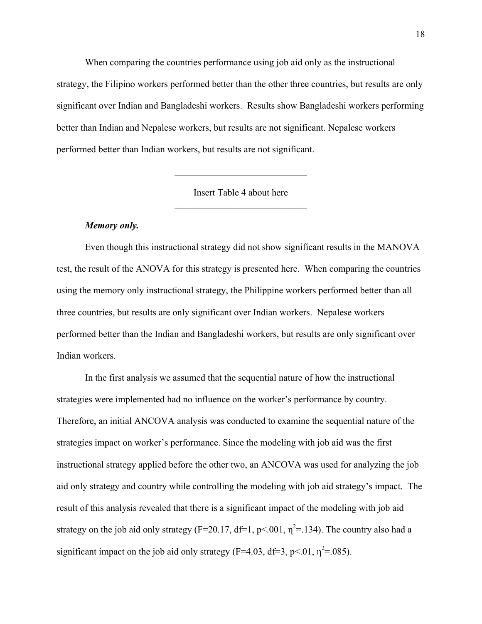When comparing the countries performance using job aid only as the instructional strategy, the Filipino workers performed better than the other three countries, but results are only significant over Indian and Bangladeshi workers. Results show Bangladeshi workers performing better than Indian and Nepalese workers, but results are not significant. Nepalese workers performed better than Indian workers, but results are not significant.

> Insert Table 4 about here  $\mathcal{L}_\text{max}$

> $\mathcal{L}_\text{max}$  , where  $\mathcal{L}_\text{max}$  , we have the set of  $\mathcal{L}_\text{max}$

# *Memory only.*

Even though this instructional strategy did not show significant results in the MANOVA test, the result of the ANOVA for this strategy is presented here. When comparing the countries using the memory only instructional strategy, the Philippine workers performed better than all three countries, but results are only significant over Indian workers. Nepalese workers performed better than the Indian and Bangladeshi workers, but results are only significant over Indian workers.

In the first analysis we assumed that the sequential nature of how the instructional strategies were implemented had no influence on the worker's performance by country. Therefore, an initial ANCOVA analysis was conducted to examine the sequential nature of the strategies impact on worker's performance. Since the modeling with job aid was the first instructional strategy applied before the other two, an ANCOVA was used for analyzing the job aid only strategy and country while controlling the modeling with job aid strategy's impact. The result of this analysis revealed that there is a significant impact of the modeling with job aid strategy on the job aid only strategy (F=20.17, df=1, p<.001,  $\eta^2$ =.134). The country also had a significant impact on the job aid only strategy (F=4.03, df=3, p<.01,  $\eta^2$ =.085).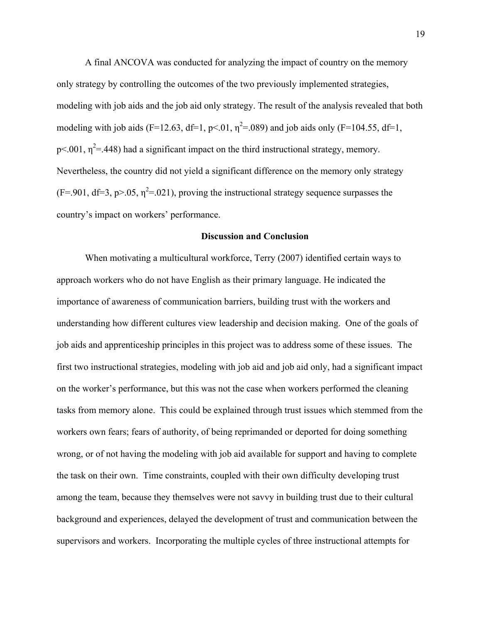A final ANCOVA was conducted for analyzing the impact of country on the memory only strategy by controlling the outcomes of the two previously implemented strategies, modeling with job aids and the job aid only strategy. The result of the analysis revealed that both modeling with job aids (F=12.63, df=1, p<.01,  $\eta^2$ =.089) and job aids only (F=104.55, df=1, p<.001,  $\eta^2$ =.448) had a significant impact on the third instructional strategy, memory. Nevertheless, the country did not yield a significant difference on the memory only strategy  $(F=.901, df=3, p>0.05, \eta^2=.021)$ , proving the instructional strategy sequence surpasses the country's impact on workers' performance.

#### **Discussion and Conclusion**

When motivating a multicultural workforce, Terry (2007) identified certain ways to approach workers who do not have English as their primary language. He indicated the importance of awareness of communication barriers, building trust with the workers and understanding how different cultures view leadership and decision making. One of the goals of job aids and apprenticeship principles in this project was to address some of these issues. The first two instructional strategies, modeling with job aid and job aid only, had a significant impact on the worker's performance, but this was not the case when workers performed the cleaning tasks from memory alone. This could be explained through trust issues which stemmed from the workers own fears; fears of authority, of being reprimanded or deported for doing something wrong, or of not having the modeling with job aid available for support and having to complete the task on their own. Time constraints, coupled with their own difficulty developing trust among the team, because they themselves were not savvy in building trust due to their cultural background and experiences, delayed the development of trust and communication between the supervisors and workers. Incorporating the multiple cycles of three instructional attempts for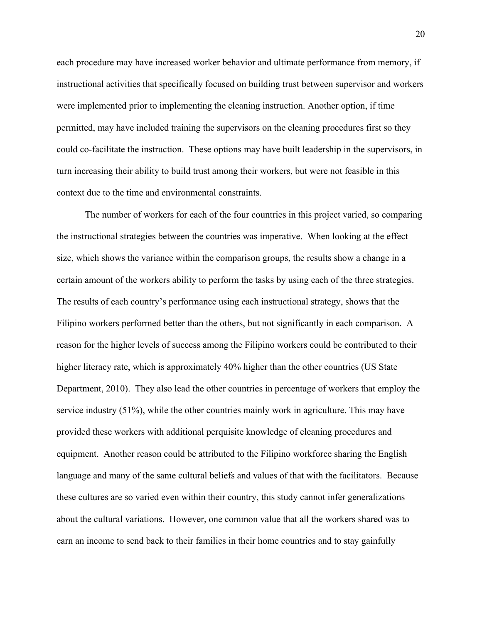each procedure may have increased worker behavior and ultimate performance from memory, if instructional activities that specifically focused on building trust between supervisor and workers were implemented prior to implementing the cleaning instruction. Another option, if time permitted, may have included training the supervisors on the cleaning procedures first so they could co-facilitate the instruction. These options may have built leadership in the supervisors, in turn increasing their ability to build trust among their workers, but were not feasible in this context due to the time and environmental constraints.

The number of workers for each of the four countries in this project varied, so comparing the instructional strategies between the countries was imperative. When looking at the effect size, which shows the variance within the comparison groups, the results show a change in a certain amount of the workers ability to perform the tasks by using each of the three strategies. The results of each country's performance using each instructional strategy, shows that the Filipino workers performed better than the others, but not significantly in each comparison. A reason for the higher levels of success among the Filipino workers could be contributed to their higher literacy rate, which is approximately 40% higher than the other countries (US State Department, 2010). They also lead the other countries in percentage of workers that employ the service industry (51%), while the other countries mainly work in agriculture. This may have provided these workers with additional perquisite knowledge of cleaning procedures and equipment. Another reason could be attributed to the Filipino workforce sharing the English language and many of the same cultural beliefs and values of that with the facilitators. Because these cultures are so varied even within their country, this study cannot infer generalizations about the cultural variations. However, one common value that all the workers shared was to earn an income to send back to their families in their home countries and to stay gainfully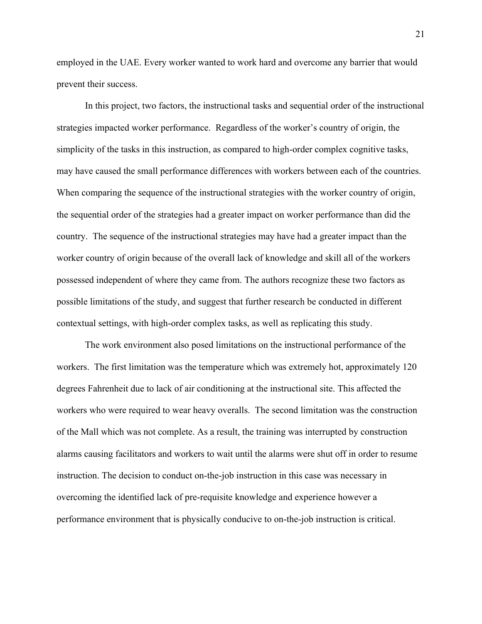employed in the UAE. Every worker wanted to work hard and overcome any barrier that would prevent their success.

In this project, two factors, the instructional tasks and sequential order of the instructional strategies impacted worker performance. Regardless of the worker's country of origin, the simplicity of the tasks in this instruction, as compared to high-order complex cognitive tasks, may have caused the small performance differences with workers between each of the countries. When comparing the sequence of the instructional strategies with the worker country of origin, the sequential order of the strategies had a greater impact on worker performance than did the country. The sequence of the instructional strategies may have had a greater impact than the worker country of origin because of the overall lack of knowledge and skill all of the workers possessed independent of where they came from. The authors recognize these two factors as possible limitations of the study, and suggest that further research be conducted in different contextual settings, with high-order complex tasks, as well as replicating this study.

The work environment also posed limitations on the instructional performance of the workers. The first limitation was the temperature which was extremely hot, approximately 120 degrees Fahrenheit due to lack of air conditioning at the instructional site. This affected the workers who were required to wear heavy overalls. The second limitation was the construction of the Mall which was not complete. As a result, the training was interrupted by construction alarms causing facilitators and workers to wait until the alarms were shut off in order to resume instruction. The decision to conduct on-the-job instruction in this case was necessary in overcoming the identified lack of pre-requisite knowledge and experience however a performance environment that is physically conducive to on-the-job instruction is critical.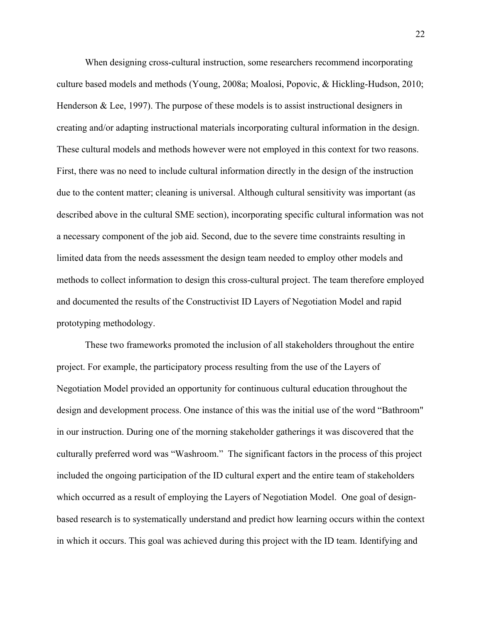When designing cross-cultural instruction, some researchers recommend incorporating culture based models and methods (Young, 2008a; Moalosi, Popovic, & Hickling-Hudson, 2010; Henderson  $& Lee$ , 1997). The purpose of these models is to assist instructional designers in creating and/or adapting instructional materials incorporating cultural information in the design. These cultural models and methods however were not employed in this context for two reasons. First, there was no need to include cultural information directly in the design of the instruction due to the content matter; cleaning is universal. Although cultural sensitivity was important (as described above in the cultural SME section), incorporating specific cultural information was not a necessary component of the job aid. Second, due to the severe time constraints resulting in limited data from the needs assessment the design team needed to employ other models and methods to collect information to design this cross-cultural project. The team therefore employed and documented the results of the Constructivist ID Layers of Negotiation Model and rapid prototyping methodology.

These two frameworks promoted the inclusion of all stakeholders throughout the entire project. For example, the participatory process resulting from the use of the Layers of Negotiation Model provided an opportunity for continuous cultural education throughout the design and development process. One instance of this was the initial use of the word "Bathroom" in our instruction. During one of the morning stakeholder gatherings it was discovered that the culturally preferred word was "Washroom." The significant factors in the process of this project included the ongoing participation of the ID cultural expert and the entire team of stakeholders which occurred as a result of employing the Layers of Negotiation Model. One goal of designbased research is to systematically understand and predict how learning occurs within the context in which it occurs. This goal was achieved during this project with the ID team. Identifying and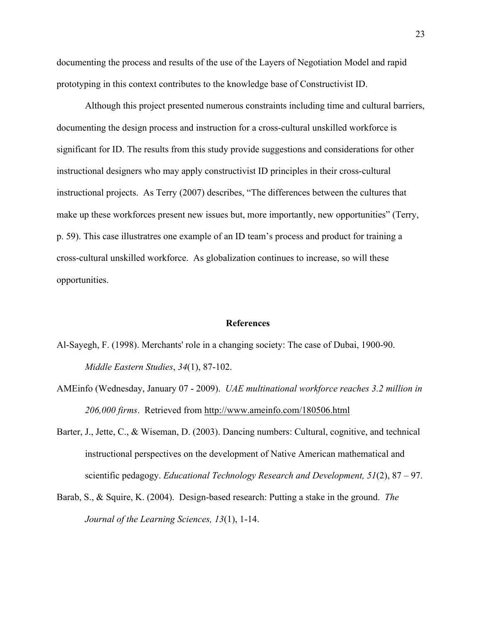documenting the process and results of the use of the Layers of Negotiation Model and rapid prototyping in this context contributes to the knowledge base of Constructivist ID.

Although this project presented numerous constraints including time and cultural barriers, documenting the design process and instruction for a cross-cultural unskilled workforce is significant for ID. The results from this study provide suggestions and considerations for other instructional designers who may apply constructivist ID principles in their cross-cultural instructional projects. As Terry (2007) describes, "The differences between the cultures that make up these workforces present new issues but, more importantly, new opportunities" (Terry, p. 59). This case illustratres one example of an ID team's process and product for training a cross-cultural unskilled workforce. As globalization continues to increase, so will these opportunities.

#### **References**

- Al-Sayegh, F. (1998). Merchants' role in a changing society: The case of Dubai, 1900-90. *Middle Eastern Studies*, *34*(1), 87-102.
- AMEinfo (Wednesday, January 07 2009). *UAE multinational workforce reaches 3.2 million in 206,000 firms*. Retrieved from http://www.ameinfo.com/180506.html
- Barter, J., Jette, C., & Wiseman, D. (2003). Dancing numbers: Cultural, cognitive, and technical instructional perspectives on the development of Native American mathematical and scientific pedagogy. *Educational Technology Research and Development, 51*(2), 87 – 97.
- Barab, S., & Squire, K. (2004). Design-based research: Putting a stake in the ground. *The Journal of the Learning Sciences, 13*(1), 1-14.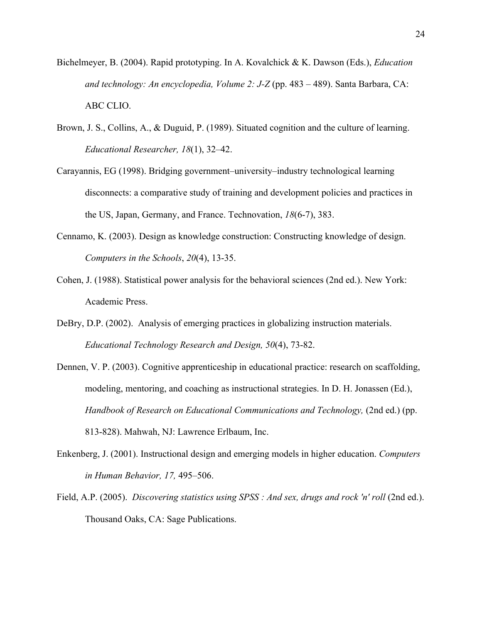- Bichelmeyer, B. (2004). Rapid prototyping. In A. Kovalchick & K. Dawson (Eds.), *Education and technology: An encyclopedia, Volume 2: J-Z* (pp. 483 – 489). Santa Barbara, CA: ABC CLIO.
- Brown, J. S., Collins, A., & Duguid, P. (1989). Situated cognition and the culture of learning. *Educational Researcher, 18*(1), 32–42.
- Carayannis, EG (1998). Bridging government–university–industry technological learning disconnects: a comparative study of training and development policies and practices in the US, Japan, Germany, and France. Technovation, *18*(6-7), 383.
- Cennamo, K. (2003). Design as knowledge construction: Constructing knowledge of design. *Computers in the Schools*, *20*(4), 13-35.
- Cohen, J. (1988). Statistical power analysis for the behavioral sciences (2nd ed.). New York: Academic Press.
- DeBry, D.P. (2002). Analysis of emerging practices in globalizing instruction materials. *Educational Technology Research and Design, 50*(4), 73-82.
- Dennen, V. P. (2003). Cognitive apprenticeship in educational practice: research on scaffolding, modeling, mentoring, and coaching as instructional strategies. In D. H. Jonassen (Ed.), *Handbook of Research on Educational Communications and Technology,* (2nd ed.) (pp. 813-828). Mahwah, NJ: Lawrence Erlbaum, Inc.
- Enkenberg, J. (2001). Instructional design and emerging models in higher education. *Computers in Human Behavior, 17,* 495–506.
- Field, A.P. (2005). *Discovering statistics using SPSS : And sex, drugs and rock 'n' roll* (2nd ed.). Thousand Oaks, CA: Sage Publications.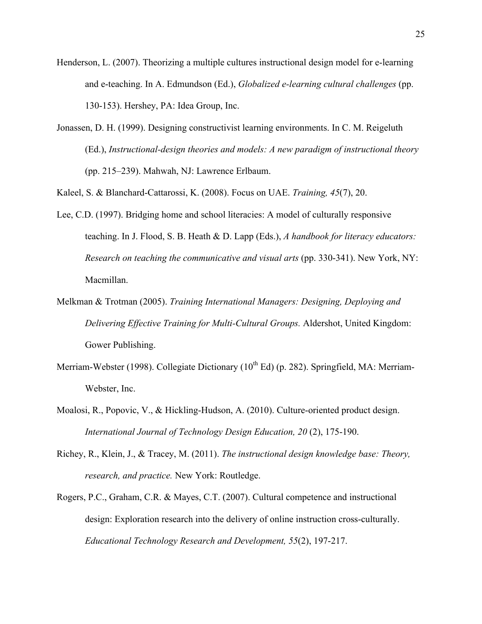- Henderson, L. (2007). Theorizing a multiple cultures instructional design model for e-learning and e-teaching. In A. Edmundson (Ed.), *Globalized e-learning cultural challenges* (pp. 130-153). Hershey, PA: Idea Group, Inc.
- Jonassen, D. H. (1999). Designing constructivist learning environments. In C. M. Reigeluth (Ed.), *Instructional-design theories and models: A new paradigm of instructional theory*  (pp. 215–239). Mahwah, NJ: Lawrence Erlbaum.
- Kaleel, S. & Blanchard-Cattarossi, K. (2008). Focus on UAE. *Training, 45*(7), 20.
- Lee, C.D. (1997). Bridging home and school literacies: A model of culturally responsive teaching. In J. Flood, S. B. Heath & D. Lapp (Eds.), *A handbook for literacy educators: Research on teaching the communicative and visual arts* (pp. 330-341). New York, NY: Macmillan.
- Melkman & Trotman (2005). *Training International Managers: Designing, Deploying and Delivering Effective Training for Multi-Cultural Groups.* Aldershot, United Kingdom: Gower Publishing.
- Merriam-Webster (1998). Collegiate Dictionary (10<sup>th</sup> Ed) (p. 282). Springfield, MA: Merriam-Webster, Inc.
- Moalosi, R., Popovic, V., & Hickling-Hudson, A. (2010). Culture-oriented product design. *International Journal of Technology Design Education, 20* (2), 175-190.
- Richey, R., Klein, J., & Tracey, M. (2011). *The instructional design knowledge base: Theory, research, and practice.* New York: Routledge.
- Rogers, P.C., Graham, C.R. & Mayes, C.T. (2007). Cultural competence and instructional design: Exploration research into the delivery of online instruction cross-culturally. *Educational Technology Research and Development, 55*(2), 197-217.